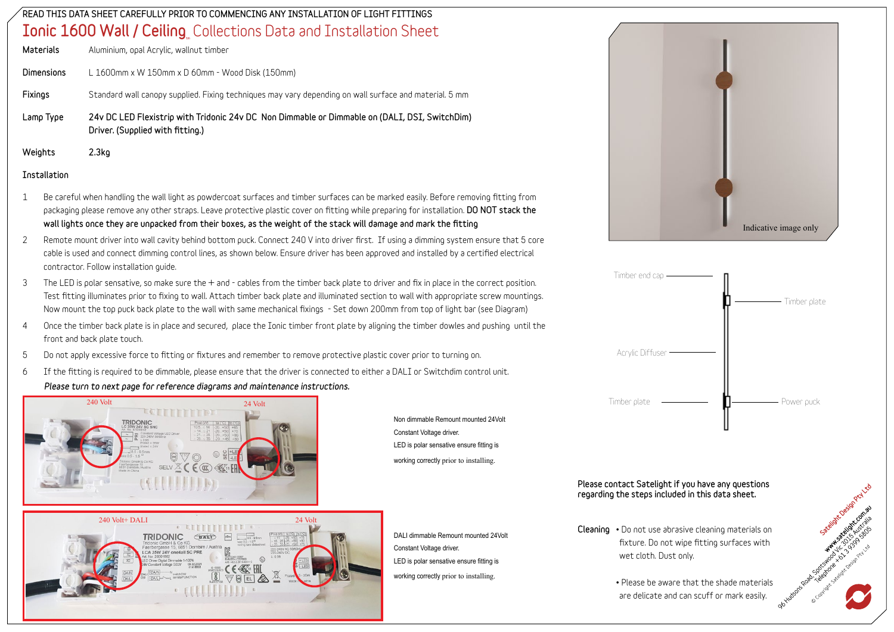### READ THIS DATA SHEET CAREFULLY PRIOR TO COMMENCING ANY INSTALLATION OF LIGHT FITTINGS  $\mathop{\mathsf{Ionic}}\nolimits$   $\mathop{\mathsf{1600}}\nolimits$  Wall /  $\mathop{\mathsf{Ceiling}}\nolimits_{\mathop{\mathsf{L}}\nolimits}$  Collections Data and Installation Sheet

| Lamp Type         | 24y DC LED Flexistrip with Tridonic 24y DC Non Dimmable or Dimmable on (DALI, DSI, SwitchDim)<br>Driver. (Supplied with fitting.) |
|-------------------|-----------------------------------------------------------------------------------------------------------------------------------|
| Fixings           | Standard wall canopy supplied. Fixing techniques may vary depending on wall surface and material. 5 mm                            |
| <b>Dimensions</b> | L 1600mm x W 150mm x D 60mm - Wood Disk (150mm)                                                                                   |
| Materials         | Aluminium, opal Acrylic, wallnut timber                                                                                           |

### Weights 2.3kg

#### Installation

- 1 Be careful when handling the wall light as powdercoat surfaces and timber surfaces can be marked easily. Before removing fitting from packaging please remove any other straps. Leave protective plastic cover on fitting while preparing for installation. DO NOT stack the wall lights once they are unpacked from their boxes, as the weight of the stack will damage and mark the fitting
- 2 Remote mount driver into wall cavity behind bottom puck. Connect 240 V into driver first. If using a dimming system ensure that 5 core cable is used and connect dimming control lines, as shown below. Ensure driver has been approved and installed by a certified electrical **contractor. Follow installation guide.**
- 3 The LED is polar sensative, so make sure the + and cables from the timber back plate to driver and fix in place in the correct position. Test fitting illuminates prior to fixing to wall. Attach timber back plate and illuminated section to wall with appropriate screw mountings. Now mount the top puck back plate to the wall with same mechanical fixings - Set down 200mm from top of light bar (see Diagram)
- **4 Once the timber back plate is in place and secured, place the Ionic timber front plate by aligning the timber dowles and pushing until the front and back plate touch.**
- 5 Do not apply excessive force to fitting or fixtures and remember to remove protective plastic cover prior to turning on.
- 6 If the fitting is required to be dimmable, please ensure that the driver is connected to either a DALI or Switchdim control unit. *Please turn to next page for reference diagrams and maintenance instructions.*



240 Volt+ DALI 24 Volt 24 Volt 24 Volt 24 Volt 24 Volt 24 Volt 24 Volt 24 Volt 24 Volt 24 Volt 24 Volt 24 Volt 2 **TRIDONIC** GALD

Non dimmable Remount mounted 24Volt Constant Voltage driver. LED is polar sensative ensure fitting is working correctly prior to installing.

DALI dimmable Remount mounted 24Volt Constant Voltage driver. LED is polar sensative ensure fitting is working correctly prior to installing.





#### Please contact Satelight if you have any questions regarding the steps included in this data sheet.

- Cleaning **• Do not use abrasive cleaning materials on fixture. Do not wipe fitting surfaces with wet cloth. Dust only.**
	- **• Please be aware that the shade materials are delicate and can scuff or mark easily.**

seign clean production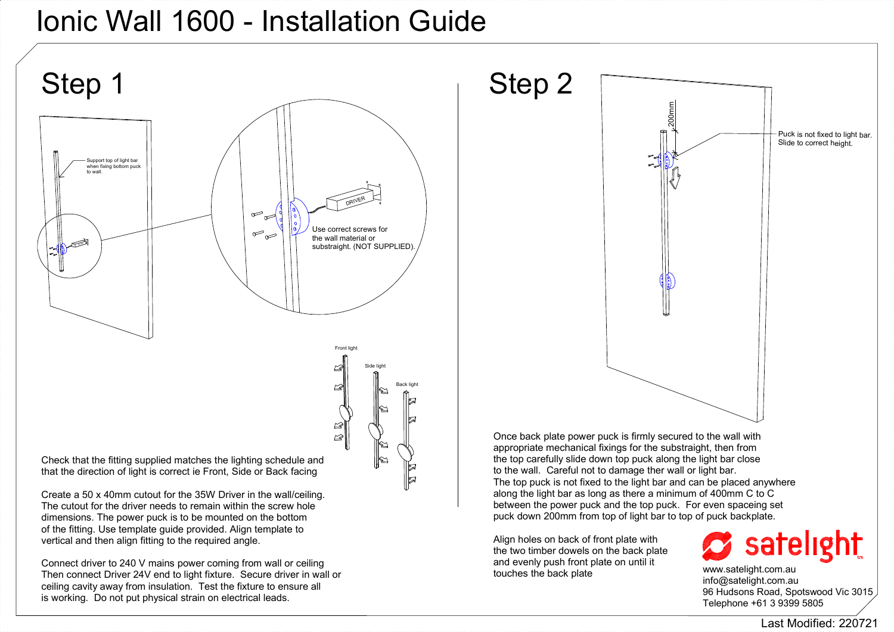### Ionic Wall 1600 - Installation Guide

ceiling cavity away from insulation. Test the fixture to ensure all is working. Do not put physical strain on electrical leads.



info@satelight.com.au 96 Hudsons Road, Spotswood Vic 3015 Telephone +61 3 9399 5805

Last Modified: 220721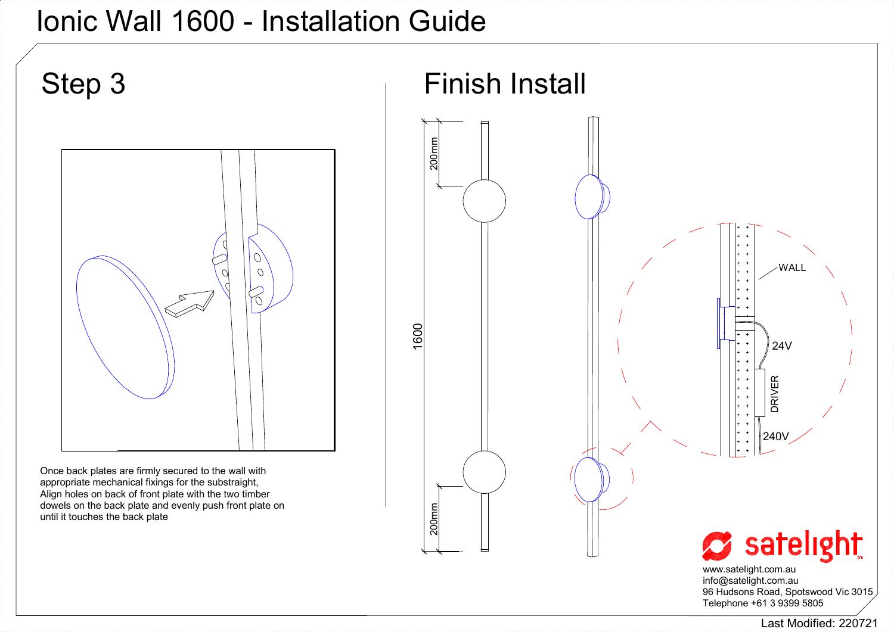## Ionic Wall 1600 - Installation Guide



www.satelight.com.au info@satelight.com.au 96 Hudsons Road, Spotswood Vic 3015 Telephone +61 3 9399 5805

Last Modified: 220721